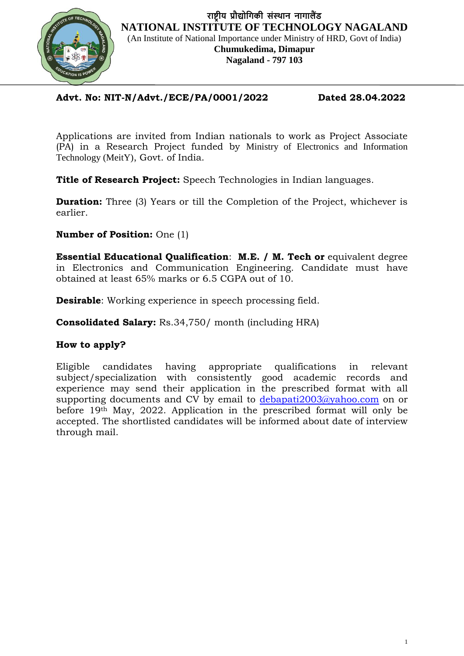

# **Advt. No: NIT-N/Advt./ECE/PA/0001/2022 Dated 28.04.2022**

Applications are invited from Indian nationals to work as Project Associate (PA) in a Research Project funded by Ministry of Electronics and Information Technology (MeitY), Govt. of India.

**Title of Research Project:** Speech Technologies in Indian languages*.*

**Duration:** Three (3) Years or till the Completion of the Project, whichever is earlier.

**Number of Position:** One (1)

**Essential Educational Qualification**: **M.E. / M. Tech or** equivalent degree in Electronics and Communication Engineering. Candidate must have obtained at least 65% marks or 6.5 CGPA out of 10.

**Desirable**: Working experience in speech processing field.

**Consolidated Salary:** Rs.34,750/ month (including HRA)

## **How to apply?**

Eligible candidates having appropriate qualifications in relevant subject/specialization with consistently good academic records and experience may send their application in the prescribed format with all supporting documents and CV by email to debapati2003@yahoo.com on or before 19th May, 2022. Application in the prescribed format will only be accepted. The shortlisted candidates will be informed about date of interview through mail.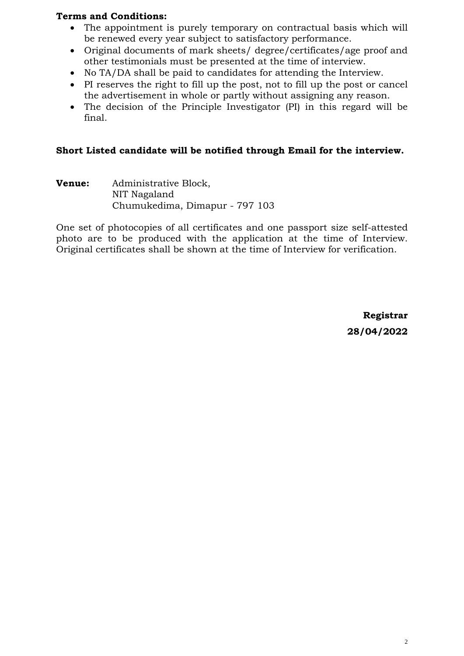### **Terms and Conditions:**

- The appointment is purely temporary on contractual basis which will be renewed every year subject to satisfactory performance.
- Original documents of mark sheets/ degree/certificates/age proof and other testimonials must be presented at the time of interview.
- No TA/DA shall be paid to candidates for attending the Interview.
- PI reserves the right to fill up the post, not to fill up the post or cancel the advertisement in whole or partly without assigning any reason.
- The decision of the Principle Investigator (PI) in this regard will be final.

## **Short Listed candidate will be notified through Email for the interview.**

**Venue:** Administrative Block, NIT Nagaland Chumukedima, Dimapur - 797 103

One set of photocopies of all certificates and one passport size self-attested photo are to be produced with the application at the time of Interview. Original certificates shall be shown at the time of Interview for verification.

> **Registrar 28/04/2022**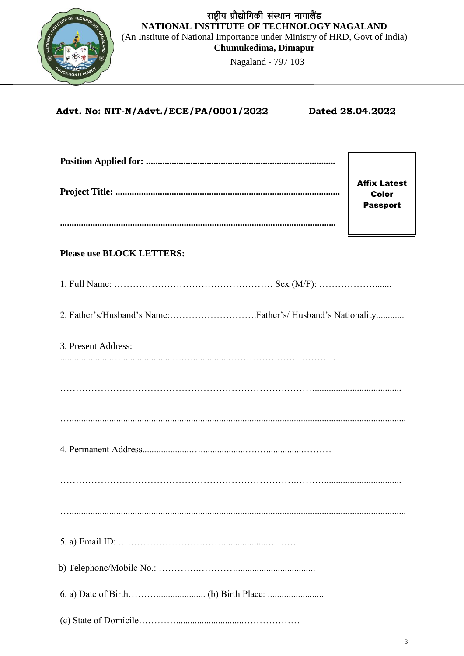

राष्ट्रीय प्रौद्योगिकी संस्थान नागालैंड NATIONAL INSTITUTE OF TECHNOLOGY NAGALAND (An Institute of National Importance under Ministry of HRD, Govt of India) Chumukedima, Dimapur

Nagaland - 797 103

# Advt. No: NIT-N/Advt./ECE/PA/0001/2022

Dated 28.04.2022

|                                                           | <b>Affix Latest</b><br>Color<br><b>Passport</b> |
|-----------------------------------------------------------|-------------------------------------------------|
|                                                           |                                                 |
| <b>Please use BLOCK LETTERS:</b>                          |                                                 |
|                                                           |                                                 |
| 2. Father's/Husband's Name:Father's/Husband's Nationality |                                                 |
| 3. Present Address:                                       |                                                 |
|                                                           |                                                 |
|                                                           |                                                 |
|                                                           |                                                 |
|                                                           |                                                 |
|                                                           |                                                 |
|                                                           |                                                 |
|                                                           |                                                 |
|                                                           |                                                 |
|                                                           |                                                 |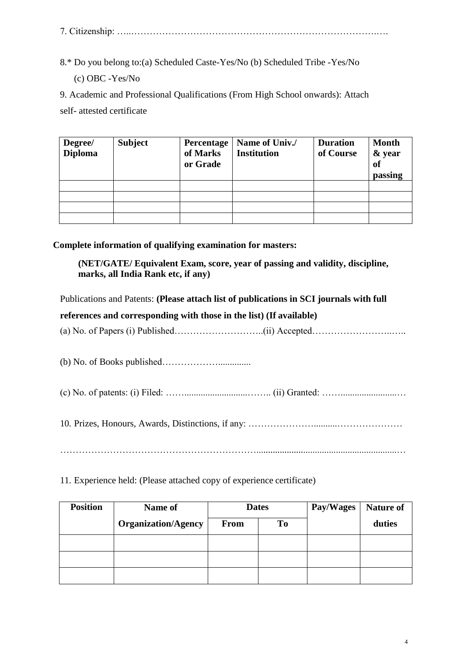7. Citizenship: …..…………………………………………………………………….….

8.\* Do you belong to:(a) Scheduled Caste-Yes/No (b) Scheduled Tribe -Yes/No (c) OBC -Yes/No

9. Academic and Professional Qualifications (From High School onwards): Attach self- attested certificate

| Degree/<br><b>Diploma</b> | <b>Subject</b> | Percentage<br>of Marks<br>or Grade | Name of Univ./<br><b>Institution</b> | <b>Duration</b><br>of Course | <b>Month</b><br>& year<br>of<br>passing |
|---------------------------|----------------|------------------------------------|--------------------------------------|------------------------------|-----------------------------------------|
|                           |                |                                    |                                      |                              |                                         |
|                           |                |                                    |                                      |                              |                                         |
|                           |                |                                    |                                      |                              |                                         |
|                           |                |                                    |                                      |                              |                                         |

**Complete information of qualifying examination for masters:**

**(NET/GATE/ Equivalent Exam, score, year of passing and validity, discipline, marks, all India Rank etc, if any)**

Publications and Patents: **(Please attach list of publications in SCI journals with full** 

| references and corresponding with those in the list) (If available) |
|---------------------------------------------------------------------|
|                                                                     |
|                                                                     |
|                                                                     |
|                                                                     |
|                                                                     |

11. Experience held: (Please attached copy of experience certificate)

| <b>Position</b> | <b>Name of</b>             | <b>Dates</b> |    |  |        |  |  |  |  |  |  |  |  | Pay/Wages | <b>Nature of</b> |
|-----------------|----------------------------|--------------|----|--|--------|--|--|--|--|--|--|--|--|-----------|------------------|
|                 | <b>Organization/Agency</b> | <b>From</b>  | To |  | duties |  |  |  |  |  |  |  |  |           |                  |
|                 |                            |              |    |  |        |  |  |  |  |  |  |  |  |           |                  |
|                 |                            |              |    |  |        |  |  |  |  |  |  |  |  |           |                  |
|                 |                            |              |    |  |        |  |  |  |  |  |  |  |  |           |                  |